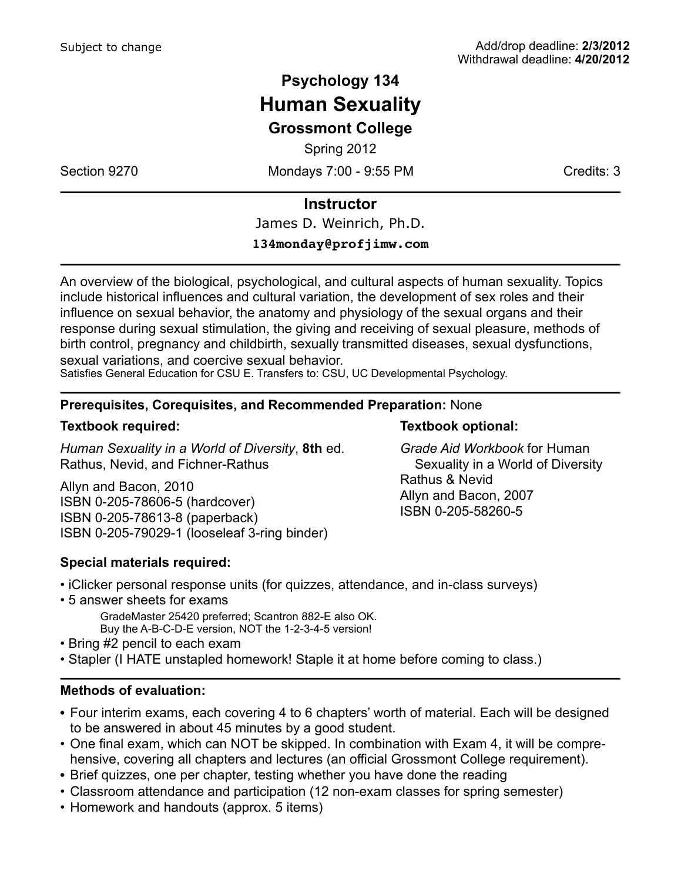# **Psychology 134 Human Sexuality Grossmont College**

Spring 2012

Section 9270 Mondays 7:00 - 9:55 PM

### **Instructor**

James D. Weinrich, Ph.D.

#### **134monday@profjimw.com**

An overview of the biological, psychological, and cultural aspects of human sexuality. Topics include historical influences and cultural variation, the development of sex roles and their influence on sexual behavior, the anatomy and physiology of the sexual organs and their response during sexual stimulation, the giving and receiving of sexual pleasure, methods of birth control, pregnancy and childbirth, sexually transmitted diseases, sexual dysfunctions, sexual variations, and coercive sexual behavior.

Satisfies General Education for CSU E. Transfers to: CSU, UC Developmental Psychology.

### **Prerequisites, Corequisites, and Recommended Preparation:** None

#### **Textbook required:**

*Human Sexuality in a World of Diversity*, **8th** ed. Rathus, Nevid, and Fichner-Rathus

Allyn and Bacon, 2010 ISBN 0-205-78606-5 (hardcover) ISBN 0-205-78613-8 (paperback) ISBN 0-205-79029-1 (looseleaf 3-ring binder)

#### **Special materials required:**

- iClicker personal response units (for quizzes, attendance, and in-class surveys)
- 5 answer sheets for exams GradeMaster 25420 preferred; Scantron 882-E also OK. Buy the A-B-C-D-E version, NOT the 1-2-3-4-5 version!
- Bring #2 pencil to each exam
- Stapler (I HATE unstapled homework! Staple it at home before coming to class.)

#### **Methods of evaluation:**

- Four interim exams, each covering 4 to 6 chapters' worth of material. Each will be designed to be answered in about 45 minutes by a good student.
- One final exam, which can NOT be skipped. In combination with Exam 4, it will be comprehensive, covering all chapters and lectures (an official Grossmont College requirement).
- Brief quizzes, one per chapter, testing whether you have done the reading
- Classroom attendance and participation (12 non-exam classes for spring semester)
- Homework and handouts (approx. 5 items)

*Grade Aid Workbook* for Human Sexuality in a World of Diversity Rathus & Nevid Allyn and Bacon, 2007 ISBN 0-205-58260-5

**Textbook optional:**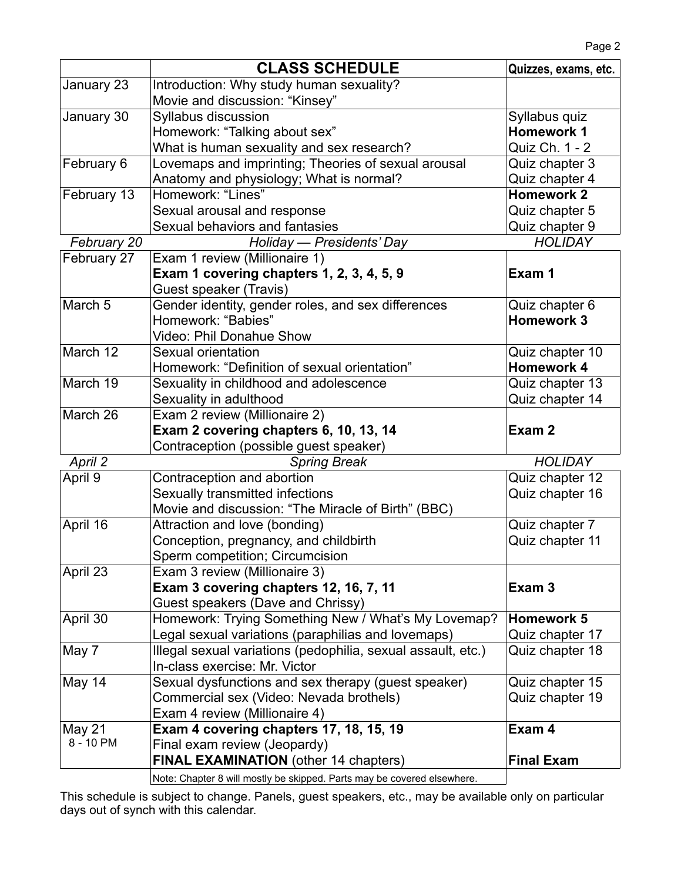|             | <b>CLASS SCHEDULE</b>                                                   | Quizzes, exams, etc. |
|-------------|-------------------------------------------------------------------------|----------------------|
| January 23  | Introduction: Why study human sexuality?                                |                      |
|             | Movie and discussion: "Kinsey"                                          |                      |
| January 30  | Syllabus discussion                                                     | Syllabus quiz        |
|             | Homework: "Talking about sex"                                           | <b>Homework 1</b>    |
|             | What is human sexuality and sex research?                               | Quiz Ch. 1 - 2       |
| February 6  | Lovemaps and imprinting; Theories of sexual arousal                     | Quiz chapter 3       |
|             | Anatomy and physiology; What is normal?                                 | Quiz chapter 4       |
| February 13 | Homework: "Lines"                                                       | <b>Homework 2</b>    |
|             | Sexual arousal and response                                             | Quiz chapter 5       |
|             | Sexual behaviors and fantasies                                          | Quiz chapter 9       |
| February 20 | Holiday — Presidents' Day                                               | <b>HOLIDAY</b>       |
| February 27 | Exam 1 review (Millionaire 1)                                           |                      |
|             | Exam 1 covering chapters 1, 2, 3, 4, 5, 9                               | Exam 1               |
|             | Guest speaker (Travis)                                                  |                      |
| March 5     | Gender identity, gender roles, and sex differences                      | Quiz chapter 6       |
|             | Homework: "Babies"                                                      | <b>Homework 3</b>    |
|             | <b>Video: Phil Donahue Show</b>                                         |                      |
| March 12    | Sexual orientation                                                      | Quiz chapter 10      |
|             | Homework: "Definition of sexual orientation"                            | <b>Homework 4</b>    |
| March 19    | Sexuality in childhood and adolescence                                  | Quiz chapter 13      |
|             | Sexuality in adulthood                                                  | Quiz chapter 14      |
| March 26    | Exam 2 review (Millionaire 2)                                           |                      |
|             | Exam 2 covering chapters 6, 10, 13, 14                                  | Exam 2               |
|             | Contraception (possible guest speaker)                                  |                      |
| April 2     | <b>Spring Break</b>                                                     | <b>HOLIDAY</b>       |
| April 9     | Contraception and abortion                                              | Quiz chapter 12      |
|             | Sexually transmitted infections                                         | Quiz chapter 16      |
|             | Movie and discussion: "The Miracle of Birth" (BBC)                      |                      |
| April 16    | Attraction and love (bonding)                                           | Quiz chapter 7       |
|             | Conception, pregnancy, and childbirth                                   | Quiz chapter 11      |
|             | Sperm competition; Circumcision                                         |                      |
| April 23    | Exam 3 review (Millionaire 3)                                           |                      |
|             | Exam 3 covering chapters 12, 16, 7, 11                                  | Exam <sub>3</sub>    |
|             | Guest speakers (Dave and Chrissy)                                       |                      |
| April 30    | Homework: Trying Something New / What's My Lovemap?                     | Homework 5           |
|             | Legal sexual variations (paraphilias and lovemaps)                      | Quiz chapter 17      |
| May 7       | Illegal sexual variations (pedophilia, sexual assault, etc.)            | Quiz chapter 18      |
|             | In-class exercise: Mr. Victor                                           |                      |
| May 14      | Sexual dysfunctions and sex therapy (guest speaker)                     | Quiz chapter 15      |
|             | Commercial sex (Video: Nevada brothels)                                 | Quiz chapter 19      |
|             | Exam 4 review (Millionaire 4)                                           |                      |
| May 21      | Exam 4 covering chapters 17, 18, 15, 19                                 | Exam 4               |
| 8 - 10 PM   | Final exam review (Jeopardy)                                            |                      |
|             | <b>FINAL EXAMINATION</b> (other 14 chapters)                            | <b>Final Exam</b>    |
|             | Note: Chapter 8 will mostly be skipped. Parts may be covered elsewhere. |                      |

This schedule is subject to change. Panels, guest speakers, etc., may be available only on particular days out of synch with this calendar.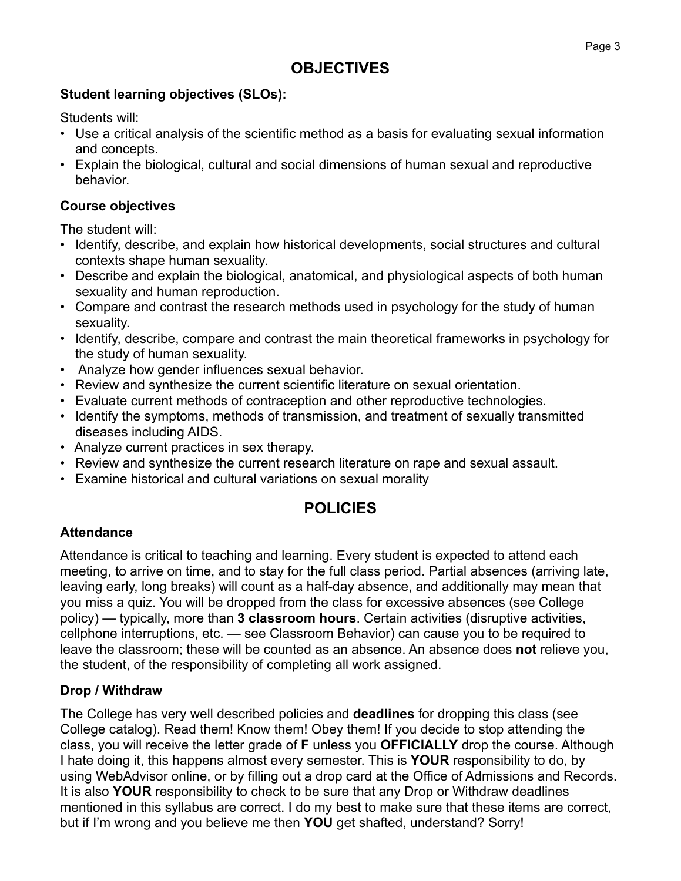# **Student learning objectives (SLOs):**

Students will:

- Use a critical analysis of the scientific method as a basis for evaluating sexual information and concepts.
- Explain the biological, cultural and social dimensions of human sexual and reproductive behavior.

# **Course objectives**

The student will:

- Identify, describe, and explain how historical developments, social structures and cultural contexts shape human sexuality.
- Describe and explain the biological, anatomical, and physiological aspects of both human sexuality and human reproduction.
- Compare and contrast the research methods used in psychology for the study of human sexuality.
- Identify, describe, compare and contrast the main theoretical frameworks in psychology for the study of human sexuality.
- Analyze how gender influences sexual behavior.
- Review and synthesize the current scientific literature on sexual orientation.
- Evaluate current methods of contraception and other reproductive technologies.
- Identify the symptoms, methods of transmission, and treatment of sexually transmitted diseases including AIDS.
- Analyze current practices in sex therapy.
- Review and synthesize the current research literature on rape and sexual assault.
- Examine historical and cultural variations on sexual morality

# **POLICIES**

# **Attendance**

Attendance is critical to teaching and learning. Every student is expected to attend each meeting, to arrive on time, and to stay for the full class period. Partial absences (arriving late, leaving early, long breaks) will count as a half-day absence, and additionally may mean that you miss a quiz. You will be dropped from the class for excessive absences (see College policy) — typically, more than **3 classroom hours**. Certain activities (disruptive activities, cellphone interruptions, etc. — see Classroom Behavior) can cause you to be required to leave the classroom; these will be counted as an absence. An absence does **not** relieve you, the student, of the responsibility of completing all work assigned.

# **Drop / Withdraw**

The College has very well described policies and **deadlines** for dropping this class (see College catalog). Read them! Know them! Obey them! If you decide to stop attending the class, you will receive the letter grade of **F** unless you **OFFICIALLY** drop the course. Although I hate doing it, this happens almost every semester. This is **YOUR** responsibility to do, by using WebAdvisor online, or by filling out a drop card at the Office of Admissions and Records. It is also **YOUR** responsibility to check to be sure that any Drop or Withdraw deadlines mentioned in this syllabus are correct. I do my best to make sure that these items are correct, but if I'm wrong and you believe me then **YOU** get shafted, understand? Sorry!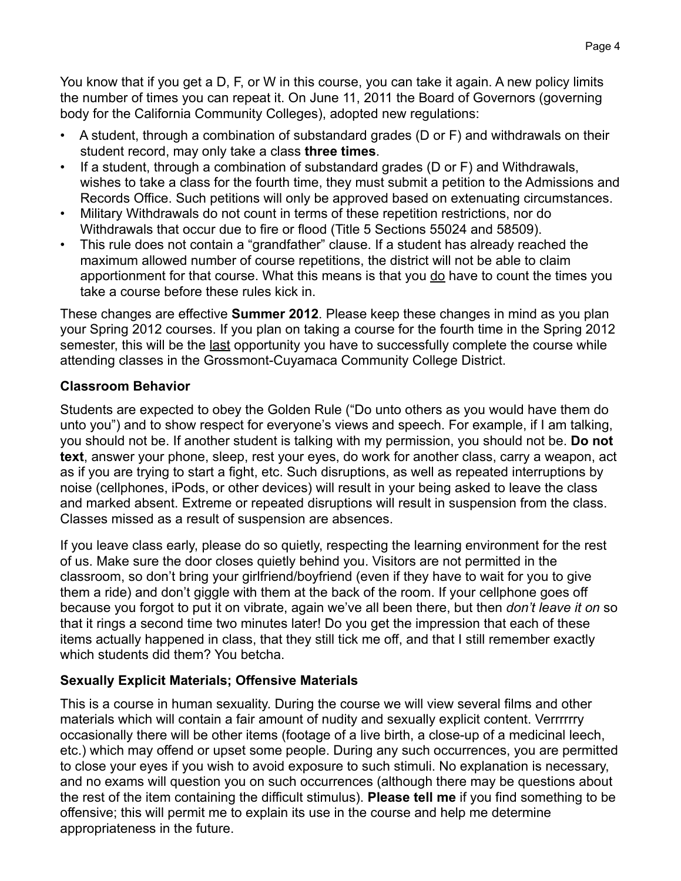You know that if you get a D, F, or W in this course, you can take it again. A new policy limits the number of times you can repeat it. On June 11, 2011 the Board of Governors (governing body for the California Community Colleges), adopted new regulations:

- A student, through a combination of substandard grades (D or F) and withdrawals on their student record, may only take a class **three times**.
- If a student, through a combination of substandard grades (D or F) and Withdrawals, wishes to take a class for the fourth time, they must submit a petition to the Admissions and Records Office. Such petitions will only be approved based on extenuating circumstances.
- Military Withdrawals do not count in terms of these repetition restrictions, nor do Withdrawals that occur due to fire or flood (Title 5 Sections 55024 and 58509).
- This rule does not contain a "grandfather" clause. If a student has already reached the maximum allowed number of course repetitions, the district will not be able to claim apportionment for that course. What this means is that you do have to count the times you take a course before these rules kick in.

These changes are effective **Summer 2012**. Please keep these changes in mind as you plan your Spring 2012 courses. If you plan on taking a course for the fourth time in the Spring 2012 semester, this will be the last opportunity you have to successfully complete the course while attending classes in the Grossmont-Cuyamaca Community College District.

## **Classroom Behavior**

Students are expected to obey the Golden Rule ("Do unto others as you would have them do unto you") and to show respect for everyone's views and speech. For example, if I am talking, you should not be. If another student is talking with my permission, you should not be. **Do not text**, answer your phone, sleep, rest your eyes, do work for another class, carry a weapon, act as if you are trying to start a fight, etc. Such disruptions, as well as repeated interruptions by noise (cellphones, iPods, or other devices) will result in your being asked to leave the class and marked absent. Extreme or repeated disruptions will result in suspension from the class. Classes missed as a result of suspension are absences.

If you leave class early, please do so quietly, respecting the learning environment for the rest of us. Make sure the door closes quietly behind you. Visitors are not permitted in the classroom, so don't bring your girlfriend/boyfriend (even if they have to wait for you to give them a ride) and don't giggle with them at the back of the room. If your cellphone goes off because you forgot to put it on vibrate, again we've all been there, but then *don't leave it on* so that it rings a second time two minutes later! Do you get the impression that each of these items actually happened in class, that they still tick me off, and that I still remember exactly which students did them? You betcha.

# **Sexually Explicit Materials; Offensive Materials**

This is a course in human sexuality. During the course we will view several films and other materials which will contain a fair amount of nudity and sexually explicit content. Verrrrrry occasionally there will be other items (footage of a live birth, a close-up of a medicinal leech, etc.) which may offend or upset some people. During any such occurrences, you are permitted to close your eyes if you wish to avoid exposure to such stimuli. No explanation is necessary, and no exams will question you on such occurrences (although there may be questions about the rest of the item containing the difficult stimulus). **Please tell me** if you find something to be offensive; this will permit me to explain its use in the course and help me determine appropriateness in the future.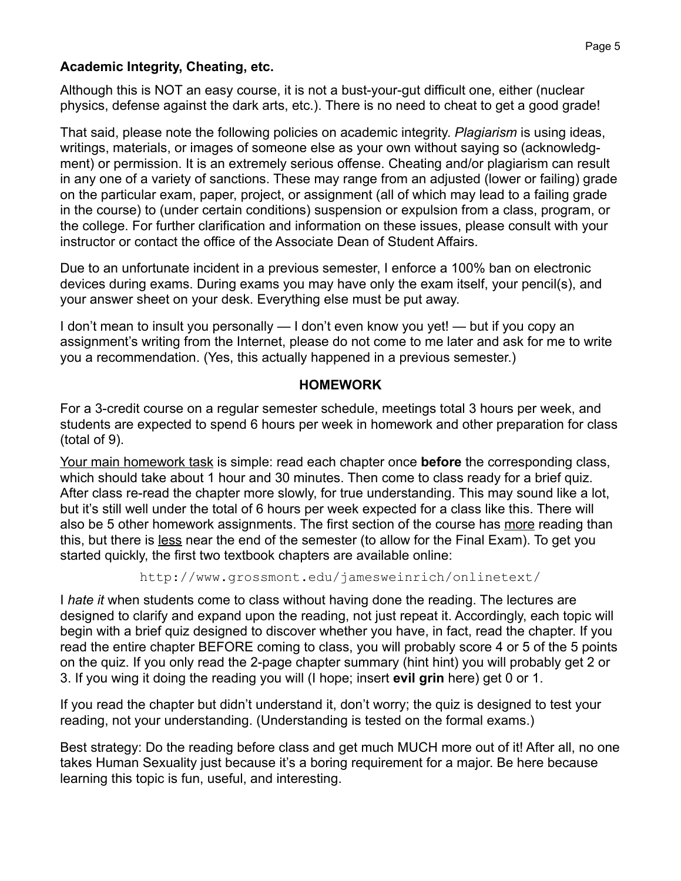## **Academic Integrity, Cheating, etc.**

Although this is NOT an easy course, it is not a bust-your-gut difficult one, either (nuclear physics, defense against the dark arts, etc.). There is no need to cheat to get a good grade!

That said, please note the following policies on academic integrity. *Plagiarism* is using ideas, writings, materials, or images of someone else as your own without saying so (acknowledgment) or permission. It is an extremely serious offense. Cheating and/or plagiarism can result in any one of a variety of sanctions. These may range from an adjusted (lower or failing) grade on the particular exam, paper, project, or assignment (all of which may lead to a failing grade in the course) to (under certain conditions) suspension or expulsion from a class, program, or the college. For further clarification and information on these issues, please consult with your instructor or contact the office of the Associate Dean of Student Affairs.

Due to an unfortunate incident in a previous semester, I enforce a 100% ban on electronic devices during exams. During exams you may have only the exam itself, your pencil(s), and your answer sheet on your desk. Everything else must be put away.

I don't mean to insult you personally — I don't even know you yet! — but if you copy an assignment's writing from the Internet, please do not come to me later and ask for me to write you a recommendation. (Yes, this actually happened in a previous semester.)

### **HOMEWORK**

For a 3-credit course on a regular semester schedule, meetings total 3 hours per week, and students are expected to spend 6 hours per week in homework and other preparation for class (total of 9).

Your main homework task is simple: read each chapter once **before** the corresponding class, which should take about 1 hour and 30 minutes. Then come to class ready for a brief quiz. After class re-read the chapter more slowly, for true understanding. This may sound like a lot, but it's still well under the total of 6 hours per week expected for a class like this. There will also be 5 other homework assignments. The first section of the course has more reading than this, but there is less near the end of the semester (to allow for the Final Exam). To get you started quickly, the first two textbook chapters are available online:

http://www.grossmont.edu/jamesweinrich/onlinetext/

I *hate it* when students come to class without having done the reading. The lectures are designed to clarify and expand upon the reading, not just repeat it. Accordingly, each topic will begin with a brief quiz designed to discover whether you have, in fact, read the chapter. If you read the entire chapter BEFORE coming to class, you will probably score 4 or 5 of the 5 points on the quiz. If you only read the 2-page chapter summary (hint hint) you will probably get 2 or 3. If you wing it doing the reading you will (I hope; insert **evil grin** here) get 0 or 1.

If you read the chapter but didn't understand it, don't worry; the quiz is designed to test your reading, not your understanding. (Understanding is tested on the formal exams.)

Best strategy: Do the reading before class and get much MUCH more out of it! After all, no one takes Human Sexuality just because it's a boring requirement for a major. Be here because learning this topic is fun, useful, and interesting.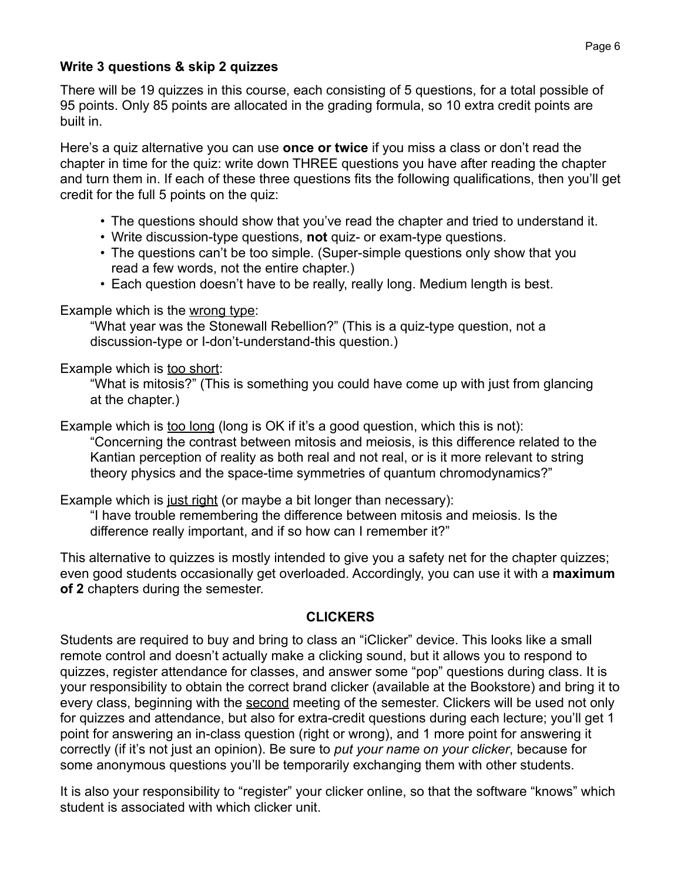### **Write 3 questions & skip 2 quizzes**

There will be 19 quizzes in this course, each consisting of 5 questions, for a total possible of 95 points. Only 85 points are allocated in the grading formula, so 10 extra credit points are built in.

Here's a quiz alternative you can use **once or twice** if you miss a class or don't read the chapter in time for the quiz: write down THREE questions you have after reading the chapter and turn them in. If each of these three questions fits the following qualifications, then you'll get credit for the full 5 points on the quiz:

- The questions should show that you've read the chapter and tried to understand it.
- Write discussion-type questions, **not** quiz- or exam-type questions.
- The questions can't be too simple. (Super-simple questions only show that you read a few words, not the entire chapter.)
- Each question doesn't have to be really, really long. Medium length is best.

## Example which is the wrong type:

"What year was the Stonewall Rebellion?" (This is a quiz-type question, not a discussion-type or I-don't-understand-this question.)

## Example which is too short:

"What is mitosis?" (This is something you could have come up with just from glancing at the chapter.)

Example which is too long (long is OK if it's a good question, which this is not): "Concerning the contrast between mitosis and meiosis, is this difference related to the Kantian perception of reality as both real and not real, or is it more relevant to string theory physics and the space-time symmetries of quantum chromodynamics?"

Example which is just right (or maybe a bit longer than necessary):

"I have trouble remembering the difference between mitosis and meiosis. Is the difference really important, and if so how can I remember it?"

This alternative to quizzes is mostly intended to give you a safety net for the chapter quizzes; even good students occasionally get overloaded. Accordingly, you can use it with a **maximum of 2** chapters during the semester.

# **CLICKERS**

Students are required to buy and bring to class an "iClicker" device. This looks like a small remote control and doesn't actually make a clicking sound, but it allows you to respond to quizzes, register attendance for classes, and answer some "pop" questions during class. It is your responsibility to obtain the correct brand clicker (available at the Bookstore) and bring it to every class, beginning with the second meeting of the semester. Clickers will be used not only for quizzes and attendance, but also for extra-credit questions during each lecture; you'll get 1 point for answering an in-class question (right or wrong), and 1 more point for answering it correctly (if it's not just an opinion). Be sure to *put your name on your clicker*, because for some anonymous questions you'll be temporarily exchanging them with other students.

It is also your responsibility to "register" your clicker online, so that the software "knows" which student is associated with which clicker unit.